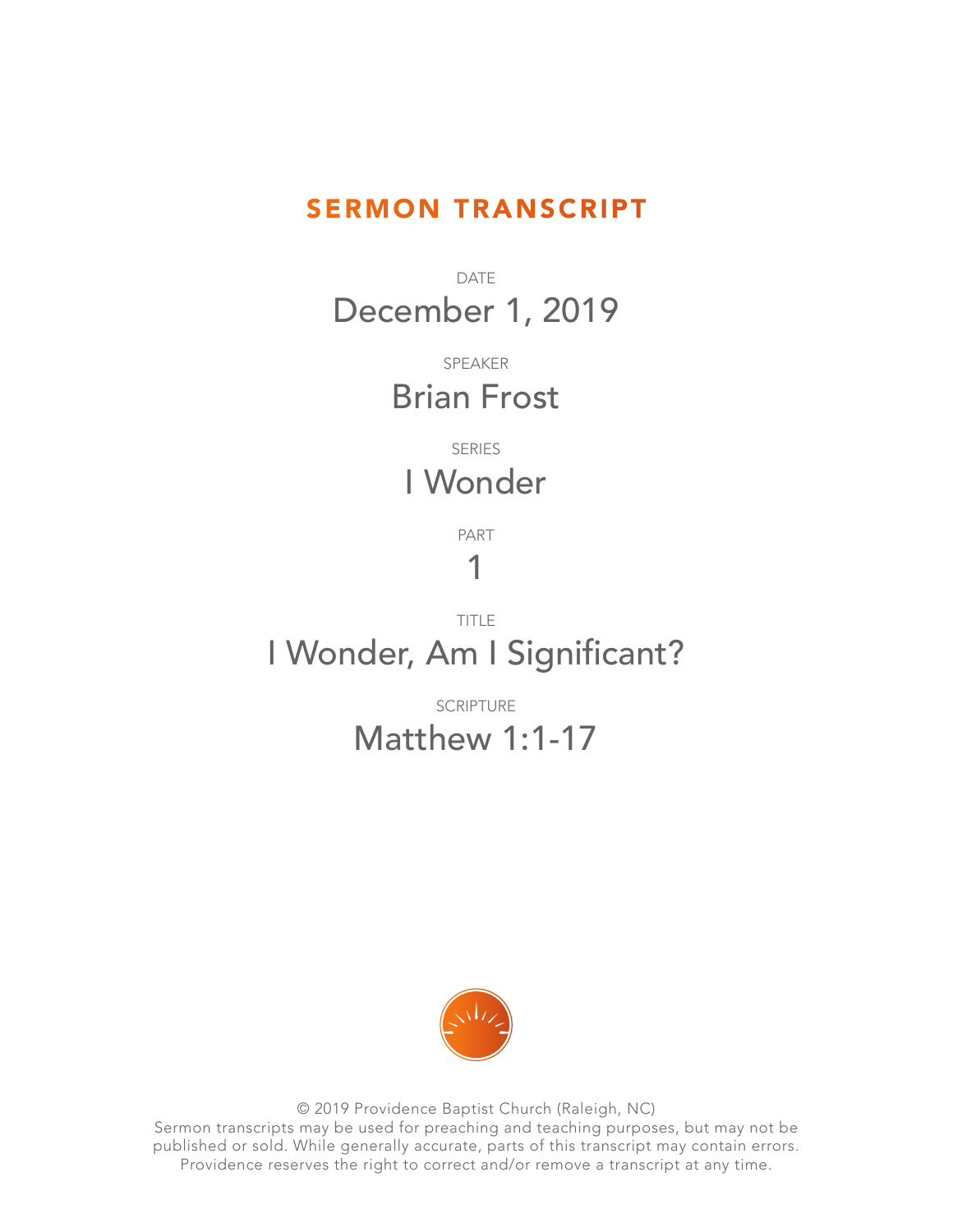## SERMON TRANSCRIPT

DATE December 1, 2019

> SPEAKER Brian Frost

SERIES I Wonder

PART

## 1

TITLE I Wonder, Am I Significant?

> SCRIPTURE Matthew 1:1-17



© 2019 Providence Baptist Church (Raleigh, NC) Sermon transcripts may be used for preaching and teaching purposes, but may not be published or sold. While generally accurate, parts of this transcript may contain errors. Providence reserves the right to correct and/or remove a transcript at any time.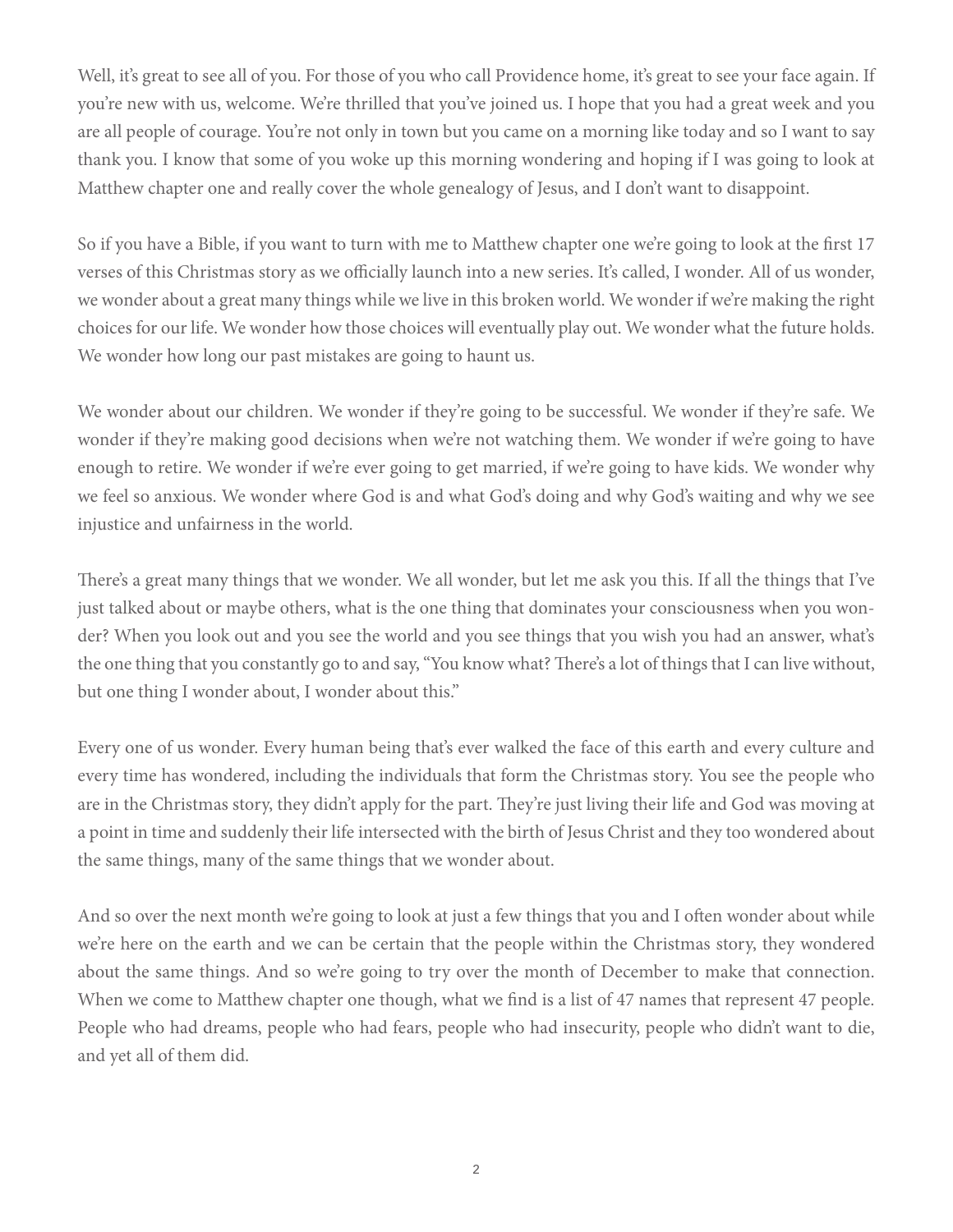Well, it's great to see all of you. For those of you who call Providence home, it's great to see your face again. If you're new with us, welcome. We're thrilled that you've joined us. I hope that you had a great week and you are all people of courage. You're not only in town but you came on a morning like today and so I want to say thank you. I know that some of you woke up this morning wondering and hoping if I was going to look at Matthew chapter one and really cover the whole genealogy of Jesus, and I don't want to disappoint.

So if you have a Bible, if you want to turn with me to Matthew chapter one we're going to look at the first 17 verses of this Christmas story as we officially launch into a new series. It's called, I wonder. All of us wonder, we wonder about a great many things while we live in this broken world. We wonder if we're making the right choices for our life. We wonder how those choices will eventually play out. We wonder what the future holds. We wonder how long our past mistakes are going to haunt us.

We wonder about our children. We wonder if they're going to be successful. We wonder if they're safe. We wonder if they're making good decisions when we're not watching them. We wonder if we're going to have enough to retire. We wonder if we're ever going to get married, if we're going to have kids. We wonder why we feel so anxious. We wonder where God is and what God's doing and why God's waiting and why we see injustice and unfairness in the world.

There's a great many things that we wonder. We all wonder, but let me ask you this. If all the things that I've just talked about or maybe others, what is the one thing that dominates your consciousness when you wonder? When you look out and you see the world and you see things that you wish you had an answer, what's the one thing that you constantly go to and say, "You know what? There's a lot of things that I can live without, but one thing I wonder about, I wonder about this."

Every one of us wonder. Every human being that's ever walked the face of this earth and every culture and every time has wondered, including the individuals that form the Christmas story. You see the people who are in the Christmas story, they didn't apply for the part. They're just living their life and God was moving at a point in time and suddenly their life intersected with the birth of Jesus Christ and they too wondered about the same things, many of the same things that we wonder about.

And so over the next month we're going to look at just a few things that you and I often wonder about while we're here on the earth and we can be certain that the people within the Christmas story, they wondered about the same things. And so we're going to try over the month of December to make that connection. When we come to Matthew chapter one though, what we find is a list of 47 names that represent 47 people. People who had dreams, people who had fears, people who had insecurity, people who didn't want to die, and yet all of them did.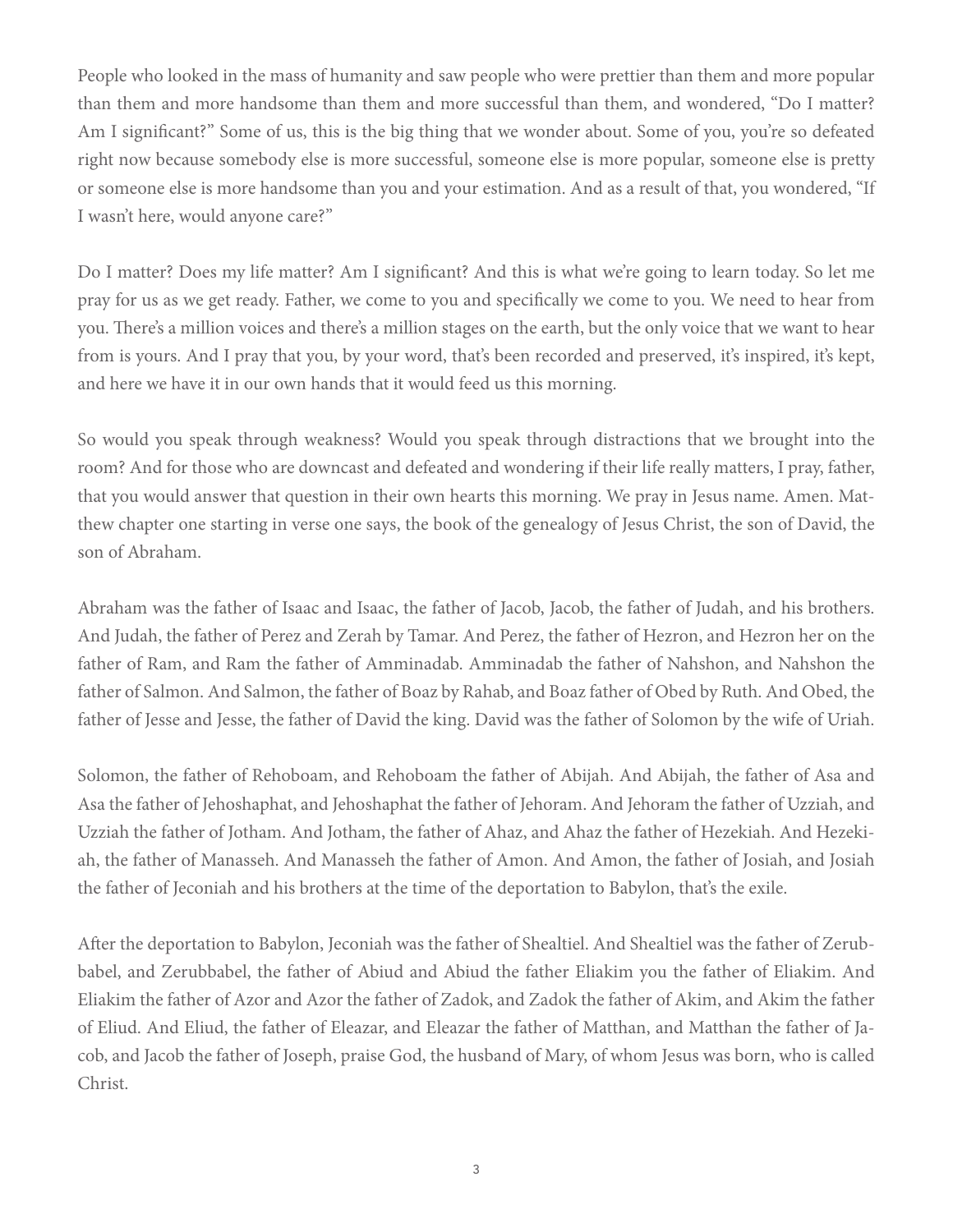People who looked in the mass of humanity and saw people who were prettier than them and more popular than them and more handsome than them and more successful than them, and wondered, "Do I matter? Am I significant?" Some of us, this is the big thing that we wonder about. Some of you, you're so defeated right now because somebody else is more successful, someone else is more popular, someone else is pretty or someone else is more handsome than you and your estimation. And as a result of that, you wondered, "If I wasn't here, would anyone care?"

Do I matter? Does my life matter? Am I significant? And this is what we're going to learn today. So let me pray for us as we get ready. Father, we come to you and specifically we come to you. We need to hear from you. There's a million voices and there's a million stages on the earth, but the only voice that we want to hear from is yours. And I pray that you, by your word, that's been recorded and preserved, it's inspired, it's kept, and here we have it in our own hands that it would feed us this morning.

So would you speak through weakness? Would you speak through distractions that we brought into the room? And for those who are downcast and defeated and wondering if their life really matters, I pray, father, that you would answer that question in their own hearts this morning. We pray in Jesus name. Amen. Matthew chapter one starting in verse one says, the book of the genealogy of Jesus Christ, the son of David, the son of Abraham.

Abraham was the father of Isaac and Isaac, the father of Jacob, Jacob, the father of Judah, and his brothers. And Judah, the father of Perez and Zerah by Tamar. And Perez, the father of Hezron, and Hezron her on the father of Ram, and Ram the father of Amminadab. Amminadab the father of Nahshon, and Nahshon the father of Salmon. And Salmon, the father of Boaz by Rahab, and Boaz father of Obed by Ruth. And Obed, the father of Jesse and Jesse, the father of David the king. David was the father of Solomon by the wife of Uriah.

Solomon, the father of Rehoboam, and Rehoboam the father of Abijah. And Abijah, the father of Asa and Asa the father of Jehoshaphat, and Jehoshaphat the father of Jehoram. And Jehoram the father of Uzziah, and Uzziah the father of Jotham. And Jotham, the father of Ahaz, and Ahaz the father of Hezekiah. And Hezekiah, the father of Manasseh. And Manasseh the father of Amon. And Amon, the father of Josiah, and Josiah the father of Jeconiah and his brothers at the time of the deportation to Babylon, that's the exile.

After the deportation to Babylon, Jeconiah was the father of Shealtiel. And Shealtiel was the father of Zerubbabel, and Zerubbabel, the father of Abiud and Abiud the father Eliakim you the father of Eliakim. And Eliakim the father of Azor and Azor the father of Zadok, and Zadok the father of Akim, and Akim the father of Eliud. And Eliud, the father of Eleazar, and Eleazar the father of Matthan, and Matthan the father of Jacob, and Jacob the father of Joseph, praise God, the husband of Mary, of whom Jesus was born, who is called Christ.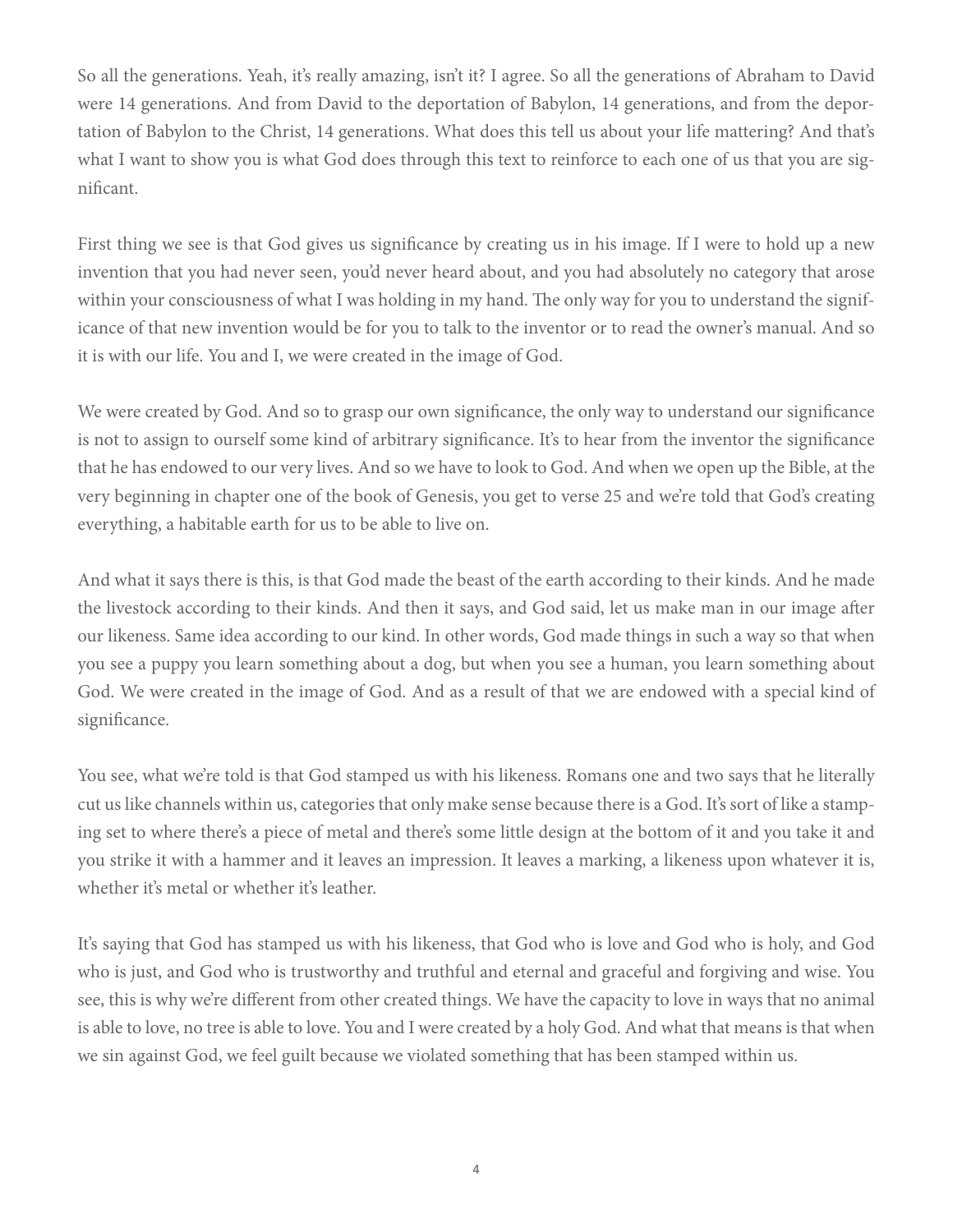So all the generations. Yeah, it's really amazing, isn't it? I agree. So all the generations of Abraham to David were 14 generations. And from David to the deportation of Babylon, 14 generations, and from the deportation of Babylon to the Christ, 14 generations. What does this tell us about your life mattering? And that's what I want to show you is what God does through this text to reinforce to each one of us that you are significant.

First thing we see is that God gives us significance by creating us in his image. If I were to hold up a new invention that you had never seen, you'd never heard about, and you had absolutely no category that arose within your consciousness of what I was holding in my hand. The only way for you to understand the significance of that new invention would be for you to talk to the inventor or to read the owner's manual. And so it is with our life. You and I, we were created in the image of God.

We were created by God. And so to grasp our own significance, the only way to understand our significance is not to assign to ourself some kind of arbitrary significance. It's to hear from the inventor the significance that he has endowed to our very lives. And so we have to look to God. And when we open up the Bible, at the very beginning in chapter one of the book of Genesis, you get to verse 25 and we're told that God's creating everything, a habitable earth for us to be able to live on.

And what it says there is this, is that God made the beast of the earth according to their kinds. And he made the livestock according to their kinds. And then it says, and God said, let us make man in our image after our likeness. Same idea according to our kind. In other words, God made things in such a way so that when you see a puppy you learn something about a dog, but when you see a human, you learn something about God. We were created in the image of God. And as a result of that we are endowed with a special kind of significance.

You see, what we're told is that God stamped us with his likeness. Romans one and two says that he literally cut us like channels within us, categories that only make sense because there is a God. It's sort of like a stamping set to where there's a piece of metal and there's some little design at the bottom of it and you take it and you strike it with a hammer and it leaves an impression. It leaves a marking, a likeness upon whatever it is, whether it's metal or whether it's leather.

It's saying that God has stamped us with his likeness, that God who is love and God who is holy, and God who is just, and God who is trustworthy and truthful and eternal and graceful and forgiving and wise. You see, this is why we're different from other created things. We have the capacity to love in ways that no animal is able to love, no tree is able to love. You and I were created by a holy God. And what that means is that when we sin against God, we feel guilt because we violated something that has been stamped within us.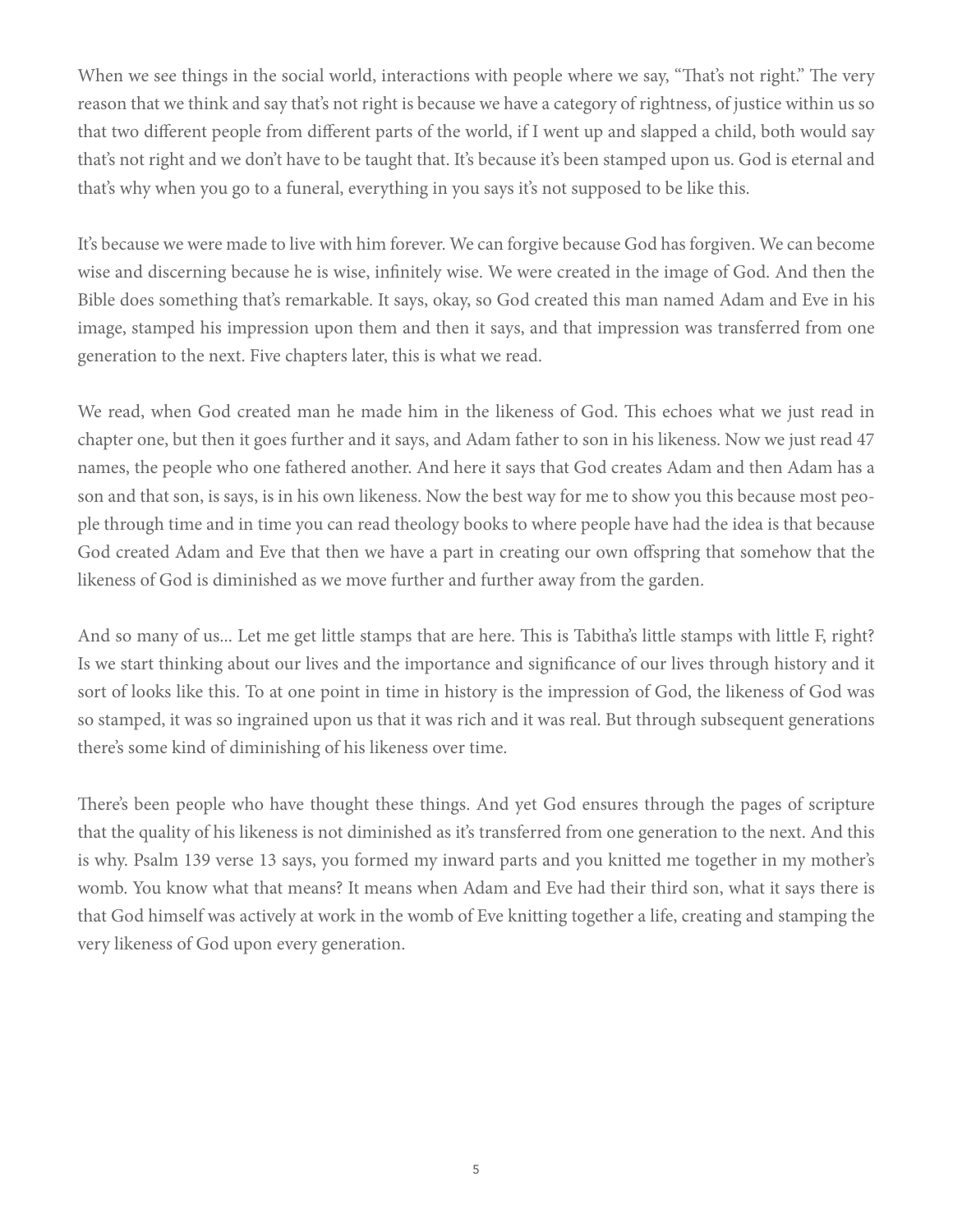When we see things in the social world, interactions with people where we say, "That's not right." The very reason that we think and say that's not right is because we have a category of rightness, of justice within us so that two different people from different parts of the world, if I went up and slapped a child, both would say that's not right and we don't have to be taught that. It's because it's been stamped upon us. God is eternal and that's why when you go to a funeral, everything in you says it's not supposed to be like this.

It's because we were made to live with him forever. We can forgive because God has forgiven. We can become wise and discerning because he is wise, infinitely wise. We were created in the image of God. And then the Bible does something that's remarkable. It says, okay, so God created this man named Adam and Eve in his image, stamped his impression upon them and then it says, and that impression was transferred from one generation to the next. Five chapters later, this is what we read.

We read, when God created man he made him in the likeness of God. This echoes what we just read in chapter one, but then it goes further and it says, and Adam father to son in his likeness. Now we just read 47 names, the people who one fathered another. And here it says that God creates Adam and then Adam has a son and that son, is says, is in his own likeness. Now the best way for me to show you this because most people through time and in time you can read theology books to where people have had the idea is that because God created Adam and Eve that then we have a part in creating our own offspring that somehow that the likeness of God is diminished as we move further and further away from the garden.

And so many of us... Let me get little stamps that are here. This is Tabitha's little stamps with little F, right? Is we start thinking about our lives and the importance and significance of our lives through history and it sort of looks like this. To at one point in time in history is the impression of God, the likeness of God was so stamped, it was so ingrained upon us that it was rich and it was real. But through subsequent generations there's some kind of diminishing of his likeness over time.

There's been people who have thought these things. And yet God ensures through the pages of scripture that the quality of his likeness is not diminished as it's transferred from one generation to the next. And this is why. Psalm 139 verse 13 says, you formed my inward parts and you knitted me together in my mother's womb. You know what that means? It means when Adam and Eve had their third son, what it says there is that God himself was actively at work in the womb of Eve knitting together a life, creating and stamping the very likeness of God upon every generation.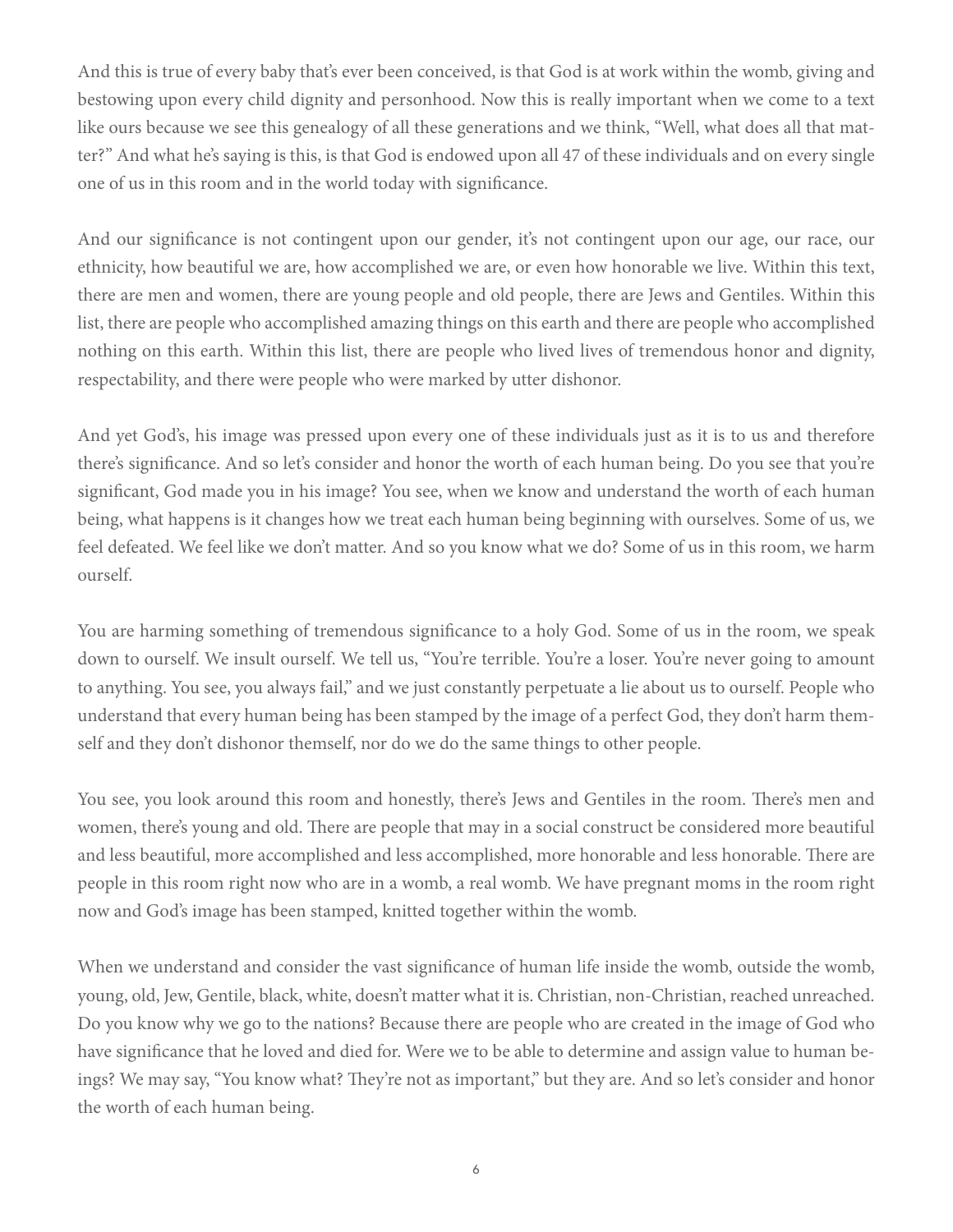And this is true of every baby that's ever been conceived, is that God is at work within the womb, giving and bestowing upon every child dignity and personhood. Now this is really important when we come to a text like ours because we see this genealogy of all these generations and we think, "Well, what does all that matter?" And what he's saying is this, is that God is endowed upon all 47 of these individuals and on every single one of us in this room and in the world today with significance.

And our significance is not contingent upon our gender, it's not contingent upon our age, our race, our ethnicity, how beautiful we are, how accomplished we are, or even how honorable we live. Within this text, there are men and women, there are young people and old people, there are Jews and Gentiles. Within this list, there are people who accomplished amazing things on this earth and there are people who accomplished nothing on this earth. Within this list, there are people who lived lives of tremendous honor and dignity, respectability, and there were people who were marked by utter dishonor.

And yet God's, his image was pressed upon every one of these individuals just as it is to us and therefore there's significance. And so let's consider and honor the worth of each human being. Do you see that you're significant, God made you in his image? You see, when we know and understand the worth of each human being, what happens is it changes how we treat each human being beginning with ourselves. Some of us, we feel defeated. We feel like we don't matter. And so you know what we do? Some of us in this room, we harm ourself.

You are harming something of tremendous significance to a holy God. Some of us in the room, we speak down to ourself. We insult ourself. We tell us, "You're terrible. You're a loser. You're never going to amount to anything. You see, you always fail," and we just constantly perpetuate a lie about us to ourself. People who understand that every human being has been stamped by the image of a perfect God, they don't harm themself and they don't dishonor themself, nor do we do the same things to other people.

You see, you look around this room and honestly, there's Jews and Gentiles in the room. There's men and women, there's young and old. There are people that may in a social construct be considered more beautiful and less beautiful, more accomplished and less accomplished, more honorable and less honorable. There are people in this room right now who are in a womb, a real womb. We have pregnant moms in the room right now and God's image has been stamped, knitted together within the womb.

When we understand and consider the vast significance of human life inside the womb, outside the womb, young, old, Jew, Gentile, black, white, doesn't matter what it is. Christian, non-Christian, reached unreached. Do you know why we go to the nations? Because there are people who are created in the image of God who have significance that he loved and died for. Were we to be able to determine and assign value to human beings? We may say, "You know what? They're not as important," but they are. And so let's consider and honor the worth of each human being.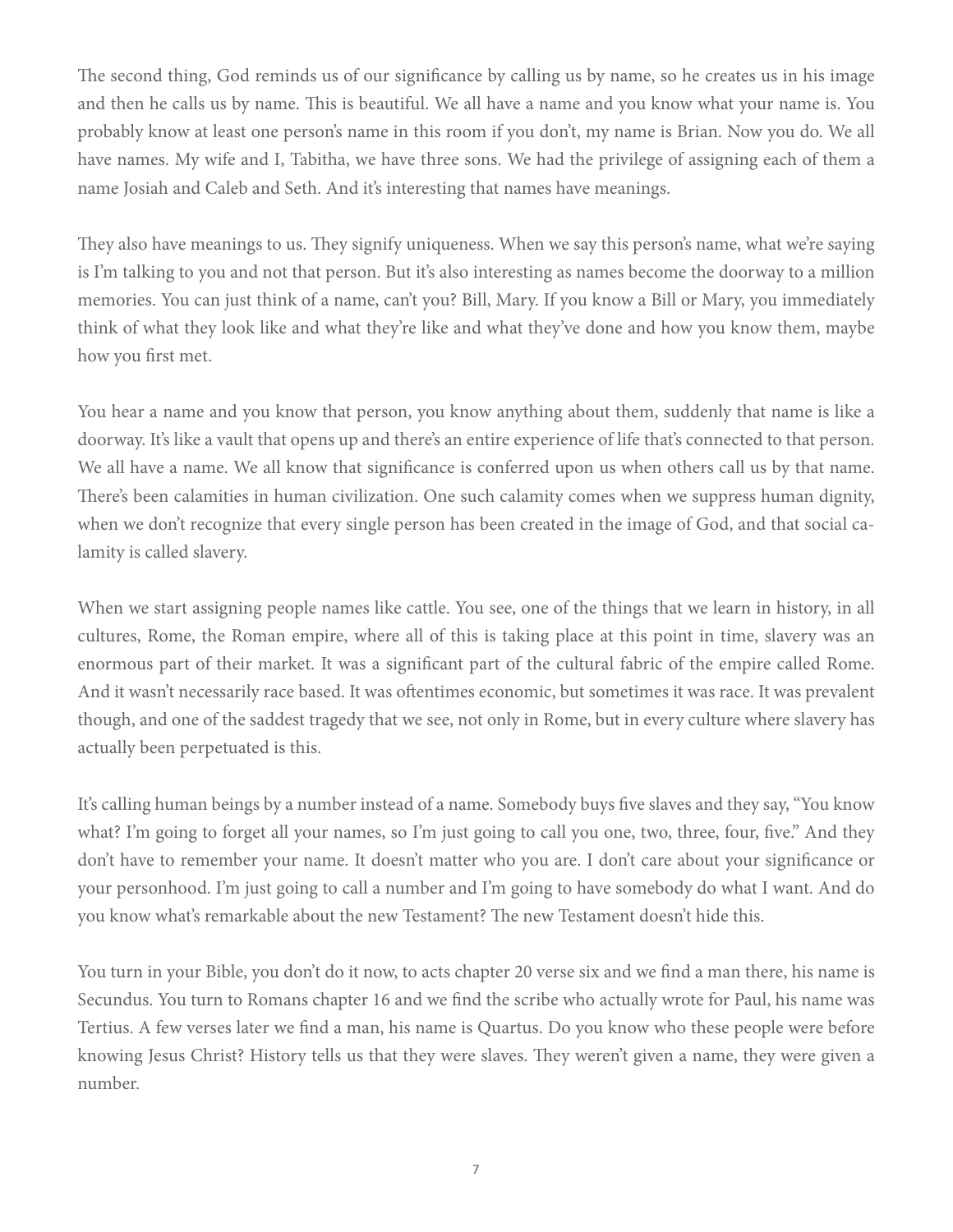The second thing, God reminds us of our significance by calling us by name, so he creates us in his image and then he calls us by name. This is beautiful. We all have a name and you know what your name is. You probably know at least one person's name in this room if you don't, my name is Brian. Now you do. We all have names. My wife and I, Tabitha, we have three sons. We had the privilege of assigning each of them a name Josiah and Caleb and Seth. And it's interesting that names have meanings.

They also have meanings to us. They signify uniqueness. When we say this person's name, what we're saying is I'm talking to you and not that person. But it's also interesting as names become the doorway to a million memories. You can just think of a name, can't you? Bill, Mary. If you know a Bill or Mary, you immediately think of what they look like and what they're like and what they've done and how you know them, maybe how you first met.

You hear a name and you know that person, you know anything about them, suddenly that name is like a doorway. It's like a vault that opens up and there's an entire experience of life that's connected to that person. We all have a name. We all know that significance is conferred upon us when others call us by that name. There's been calamities in human civilization. One such calamity comes when we suppress human dignity, when we don't recognize that every single person has been created in the image of God, and that social calamity is called slavery.

When we start assigning people names like cattle. You see, one of the things that we learn in history, in all cultures, Rome, the Roman empire, where all of this is taking place at this point in time, slavery was an enormous part of their market. It was a significant part of the cultural fabric of the empire called Rome. And it wasn't necessarily race based. It was oftentimes economic, but sometimes it was race. It was prevalent though, and one of the saddest tragedy that we see, not only in Rome, but in every culture where slavery has actually been perpetuated is this.

It's calling human beings by a number instead of a name. Somebody buys five slaves and they say, "You know what? I'm going to forget all your names, so I'm just going to call you one, two, three, four, five." And they don't have to remember your name. It doesn't matter who you are. I don't care about your significance or your personhood. I'm just going to call a number and I'm going to have somebody do what I want. And do you know what's remarkable about the new Testament? The new Testament doesn't hide this.

You turn in your Bible, you don't do it now, to acts chapter 20 verse six and we find a man there, his name is Secundus. You turn to Romans chapter 16 and we find the scribe who actually wrote for Paul, his name was Tertius. A few verses later we find a man, his name is Quartus. Do you know who these people were before knowing Jesus Christ? History tells us that they were slaves. They weren't given a name, they were given a number.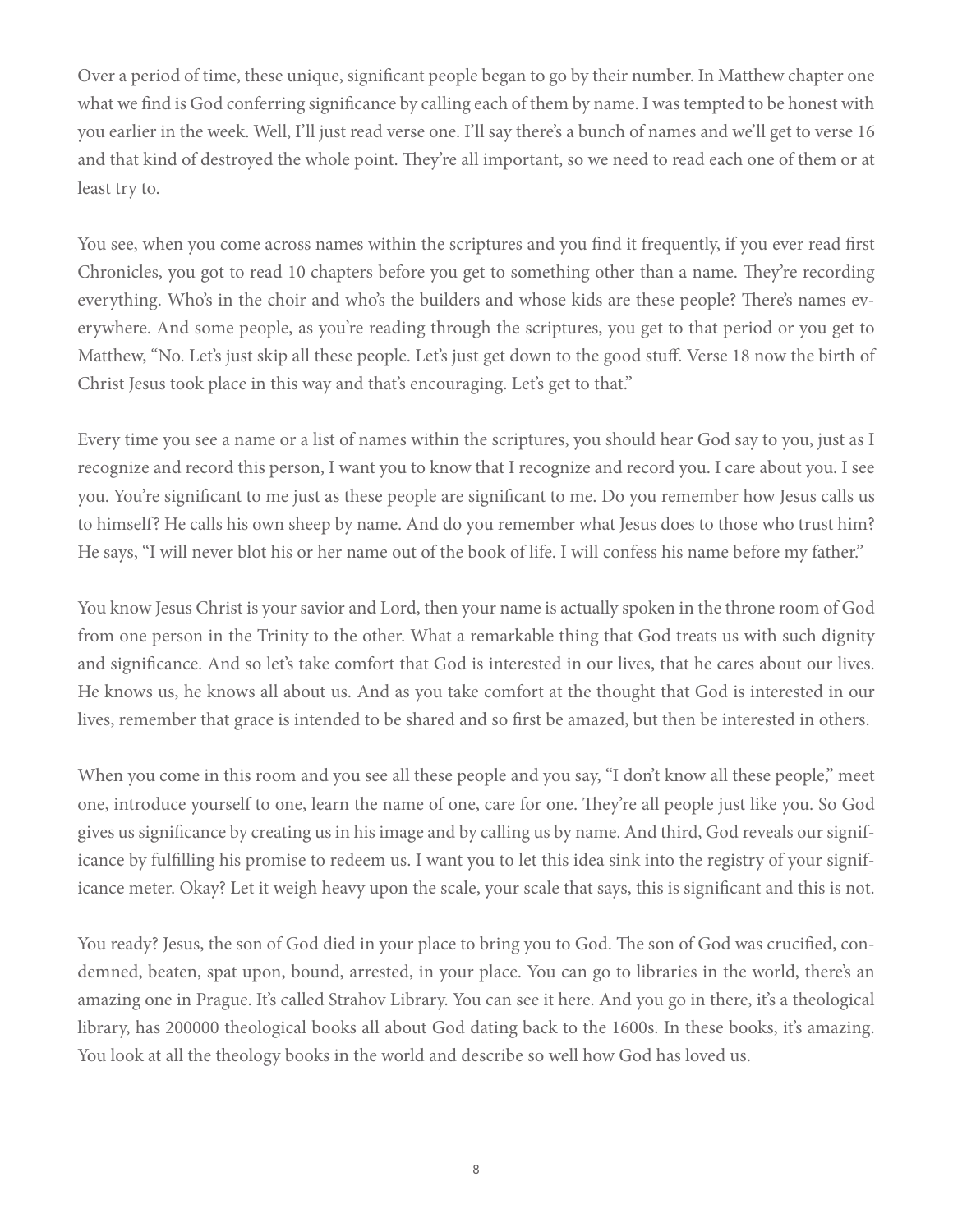Over a period of time, these unique, significant people began to go by their number. In Matthew chapter one what we find is God conferring significance by calling each of them by name. I was tempted to be honest with you earlier in the week. Well, I'll just read verse one. I'll say there's a bunch of names and we'll get to verse 16 and that kind of destroyed the whole point. They're all important, so we need to read each one of them or at least try to.

You see, when you come across names within the scriptures and you find it frequently, if you ever read first Chronicles, you got to read 10 chapters before you get to something other than a name. They're recording everything. Who's in the choir and who's the builders and whose kids are these people? There's names everywhere. And some people, as you're reading through the scriptures, you get to that period or you get to Matthew, "No. Let's just skip all these people. Let's just get down to the good stuff. Verse 18 now the birth of Christ Jesus took place in this way and that's encouraging. Let's get to that."

Every time you see a name or a list of names within the scriptures, you should hear God say to you, just as I recognize and record this person, I want you to know that I recognize and record you. I care about you. I see you. You're significant to me just as these people are significant to me. Do you remember how Jesus calls us to himself? He calls his own sheep by name. And do you remember what Jesus does to those who trust him? He says, "I will never blot his or her name out of the book of life. I will confess his name before my father."

You know Jesus Christ is your savior and Lord, then your name is actually spoken in the throne room of God from one person in the Trinity to the other. What a remarkable thing that God treats us with such dignity and significance. And so let's take comfort that God is interested in our lives, that he cares about our lives. He knows us, he knows all about us. And as you take comfort at the thought that God is interested in our lives, remember that grace is intended to be shared and so first be amazed, but then be interested in others.

When you come in this room and you see all these people and you say, "I don't know all these people," meet one, introduce yourself to one, learn the name of one, care for one. They're all people just like you. So God gives us significance by creating us in his image and by calling us by name. And third, God reveals our significance by fulfilling his promise to redeem us. I want you to let this idea sink into the registry of your significance meter. Okay? Let it weigh heavy upon the scale, your scale that says, this is significant and this is not.

You ready? Jesus, the son of God died in your place to bring you to God. The son of God was crucified, condemned, beaten, spat upon, bound, arrested, in your place. You can go to libraries in the world, there's an amazing one in Prague. It's called Strahov Library. You can see it here. And you go in there, it's a theological library, has 200000 theological books all about God dating back to the 1600s. In these books, it's amazing. You look at all the theology books in the world and describe so well how God has loved us.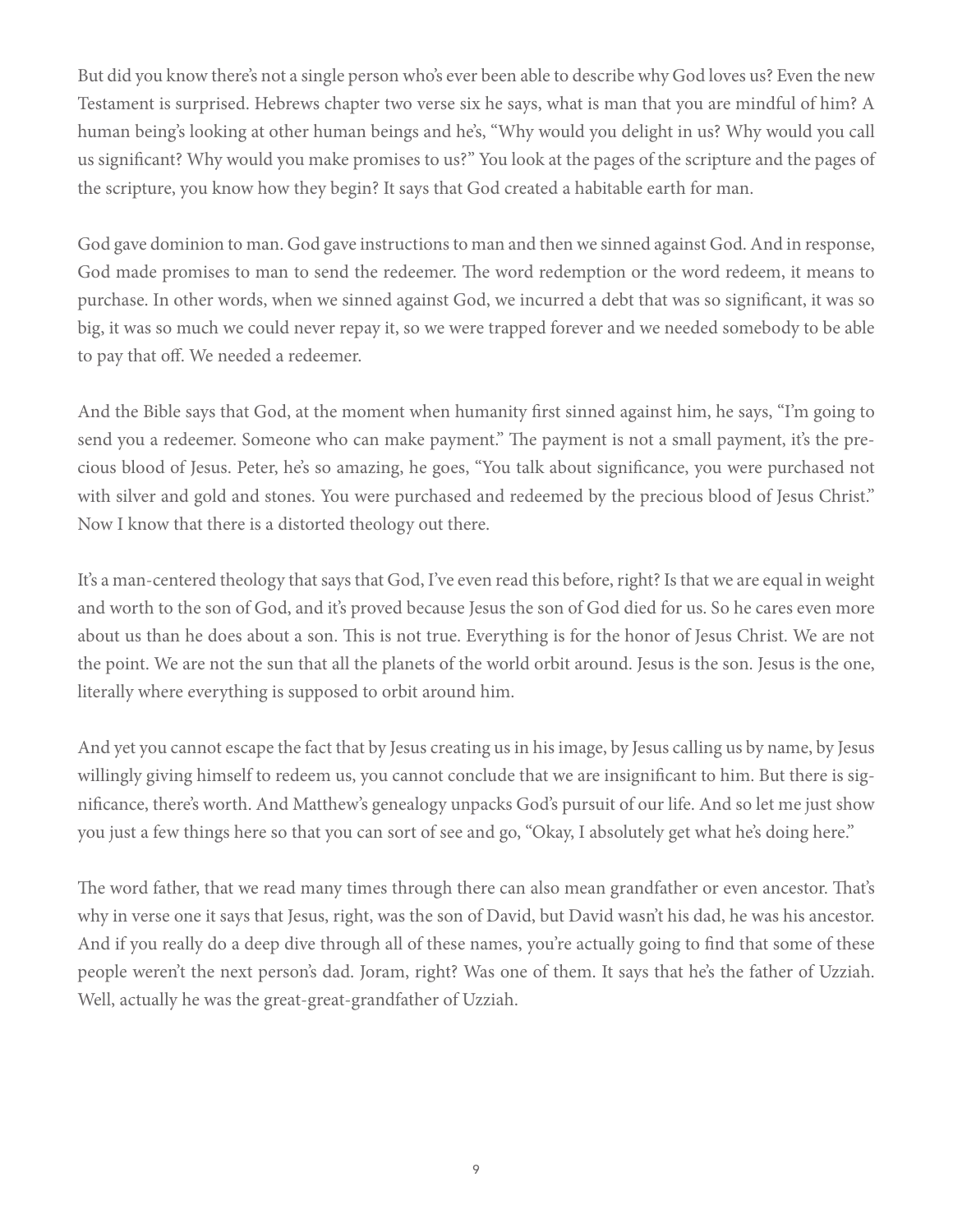But did you know there's not a single person who's ever been able to describe why God loves us? Even the new Testament is surprised. Hebrews chapter two verse six he says, what is man that you are mindful of him? A human being's looking at other human beings and he's, "Why would you delight in us? Why would you call us significant? Why would you make promises to us?" You look at the pages of the scripture and the pages of the scripture, you know how they begin? It says that God created a habitable earth for man.

God gave dominion to man. God gave instructions to man and then we sinned against God. And in response, God made promises to man to send the redeemer. The word redemption or the word redeem, it means to purchase. In other words, when we sinned against God, we incurred a debt that was so significant, it was so big, it was so much we could never repay it, so we were trapped forever and we needed somebody to be able to pay that off. We needed a redeemer.

And the Bible says that God, at the moment when humanity first sinned against him, he says, "I'm going to send you a redeemer. Someone who can make payment." The payment is not a small payment, it's the precious blood of Jesus. Peter, he's so amazing, he goes, "You talk about significance, you were purchased not with silver and gold and stones. You were purchased and redeemed by the precious blood of Jesus Christ." Now I know that there is a distorted theology out there.

It's a man-centered theology that says that God, I've even read this before, right? Is that we are equal in weight and worth to the son of God, and it's proved because Jesus the son of God died for us. So he cares even more about us than he does about a son. This is not true. Everything is for the honor of Jesus Christ. We are not the point. We are not the sun that all the planets of the world orbit around. Jesus is the son. Jesus is the one, literally where everything is supposed to orbit around him.

And yet you cannot escape the fact that by Jesus creating us in his image, by Jesus calling us by name, by Jesus willingly giving himself to redeem us, you cannot conclude that we are insignificant to him. But there is significance, there's worth. And Matthew's genealogy unpacks God's pursuit of our life. And so let me just show you just a few things here so that you can sort of see and go, "Okay, I absolutely get what he's doing here."

The word father, that we read many times through there can also mean grandfather or even ancestor. That's why in verse one it says that Jesus, right, was the son of David, but David wasn't his dad, he was his ancestor. And if you really do a deep dive through all of these names, you're actually going to find that some of these people weren't the next person's dad. Joram, right? Was one of them. It says that he's the father of Uzziah. Well, actually he was the great-great-grandfather of Uzziah.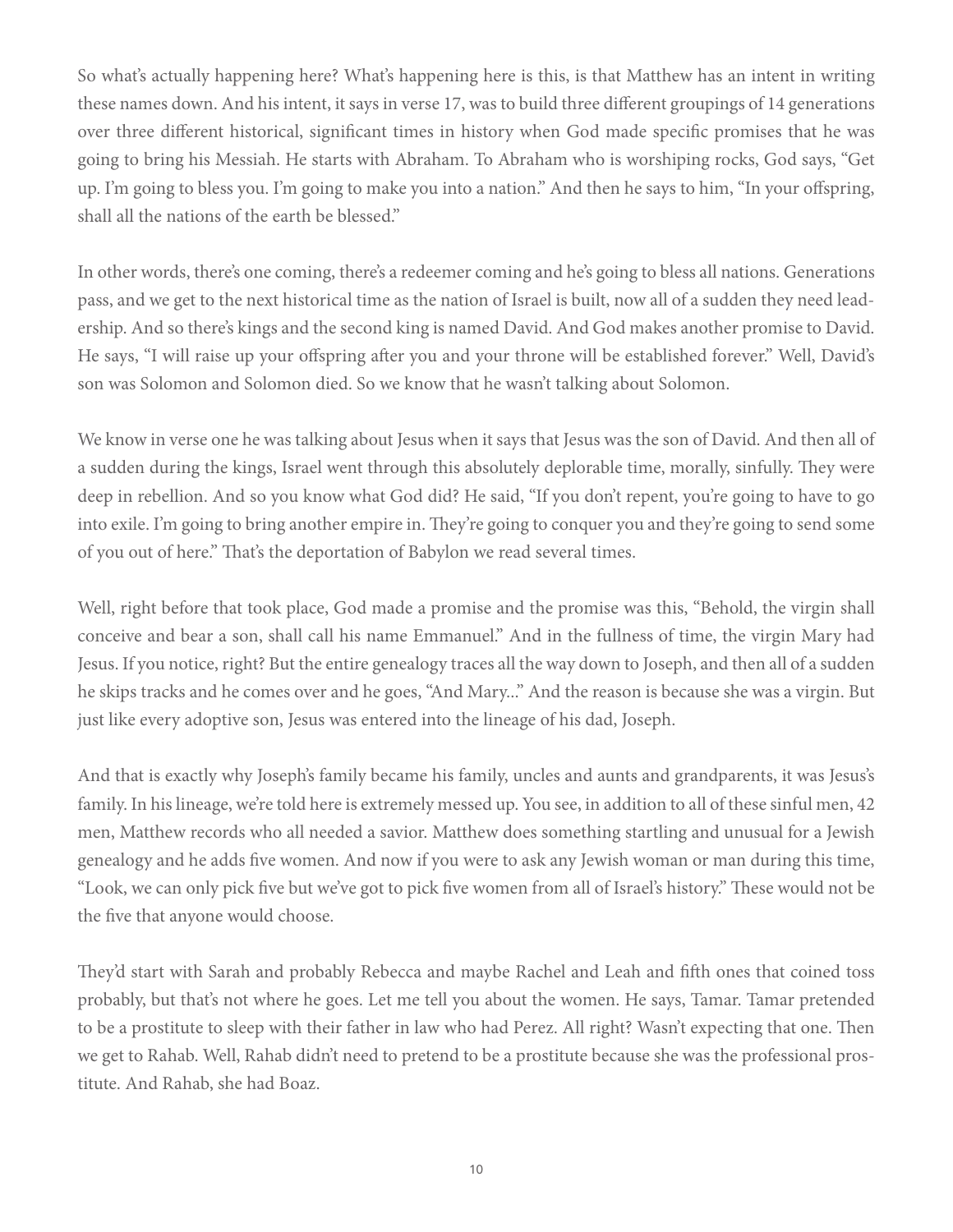So what's actually happening here? What's happening here is this, is that Matthew has an intent in writing these names down. And his intent, it says in verse 17, was to build three different groupings of 14 generations over three different historical, significant times in history when God made specific promises that he was going to bring his Messiah. He starts with Abraham. To Abraham who is worshiping rocks, God says, "Get up. I'm going to bless you. I'm going to make you into a nation." And then he says to him, "In your offspring, shall all the nations of the earth be blessed."

In other words, there's one coming, there's a redeemer coming and he's going to bless all nations. Generations pass, and we get to the next historical time as the nation of Israel is built, now all of a sudden they need leadership. And so there's kings and the second king is named David. And God makes another promise to David. He says, "I will raise up your offspring after you and your throne will be established forever." Well, David's son was Solomon and Solomon died. So we know that he wasn't talking about Solomon.

We know in verse one he was talking about Jesus when it says that Jesus was the son of David. And then all of a sudden during the kings, Israel went through this absolutely deplorable time, morally, sinfully. They were deep in rebellion. And so you know what God did? He said, "If you don't repent, you're going to have to go into exile. I'm going to bring another empire in. They're going to conquer you and they're going to send some of you out of here." That's the deportation of Babylon we read several times.

Well, right before that took place, God made a promise and the promise was this, "Behold, the virgin shall conceive and bear a son, shall call his name Emmanuel." And in the fullness of time, the virgin Mary had Jesus. If you notice, right? But the entire genealogy traces all the way down to Joseph, and then all of a sudden he skips tracks and he comes over and he goes, "And Mary..." And the reason is because she was a virgin. But just like every adoptive son, Jesus was entered into the lineage of his dad, Joseph.

And that is exactly why Joseph's family became his family, uncles and aunts and grandparents, it was Jesus's family. In his lineage, we're told here is extremely messed up. You see, in addition to all of these sinful men, 42 men, Matthew records who all needed a savior. Matthew does something startling and unusual for a Jewish genealogy and he adds five women. And now if you were to ask any Jewish woman or man during this time, "Look, we can only pick five but we've got to pick five women from all of Israel's history." These would not be the five that anyone would choose.

They'd start with Sarah and probably Rebecca and maybe Rachel and Leah and fifth ones that coined toss probably, but that's not where he goes. Let me tell you about the women. He says, Tamar. Tamar pretended to be a prostitute to sleep with their father in law who had Perez. All right? Wasn't expecting that one. Then we get to Rahab. Well, Rahab didn't need to pretend to be a prostitute because she was the professional prostitute. And Rahab, she had Boaz.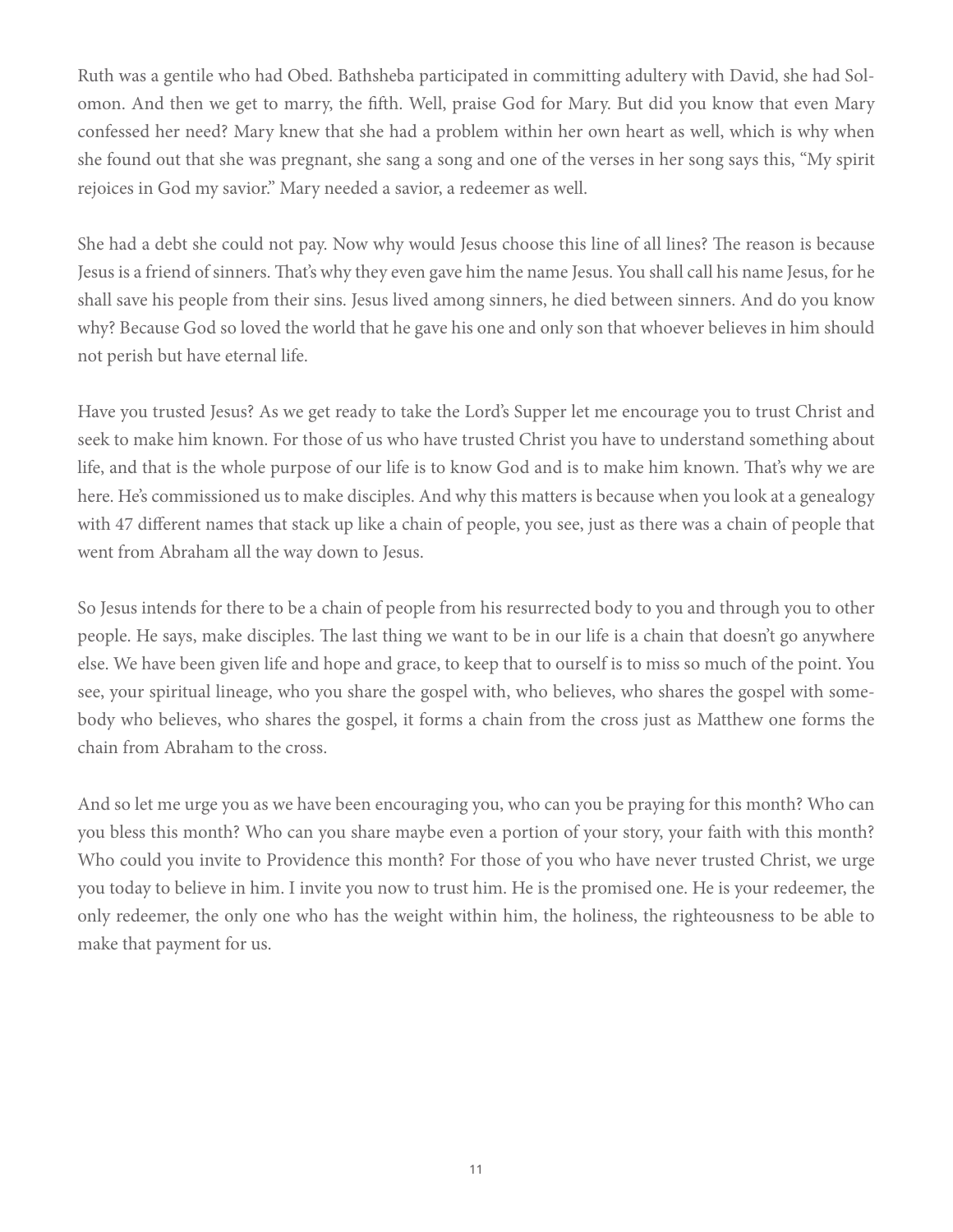Ruth was a gentile who had Obed. Bathsheba participated in committing adultery with David, she had Solomon. And then we get to marry, the fifth. Well, praise God for Mary. But did you know that even Mary confessed her need? Mary knew that she had a problem within her own heart as well, which is why when she found out that she was pregnant, she sang a song and one of the verses in her song says this, "My spirit rejoices in God my savior." Mary needed a savior, a redeemer as well.

She had a debt she could not pay. Now why would Jesus choose this line of all lines? The reason is because Jesus is a friend of sinners. That's why they even gave him the name Jesus. You shall call his name Jesus, for he shall save his people from their sins. Jesus lived among sinners, he died between sinners. And do you know why? Because God so loved the world that he gave his one and only son that whoever believes in him should not perish but have eternal life.

Have you trusted Jesus? As we get ready to take the Lord's Supper let me encourage you to trust Christ and seek to make him known. For those of us who have trusted Christ you have to understand something about life, and that is the whole purpose of our life is to know God and is to make him known. That's why we are here. He's commissioned us to make disciples. And why this matters is because when you look at a genealogy with 47 different names that stack up like a chain of people, you see, just as there was a chain of people that went from Abraham all the way down to Jesus.

So Jesus intends for there to be a chain of people from his resurrected body to you and through you to other people. He says, make disciples. The last thing we want to be in our life is a chain that doesn't go anywhere else. We have been given life and hope and grace, to keep that to ourself is to miss so much of the point. You see, your spiritual lineage, who you share the gospel with, who believes, who shares the gospel with somebody who believes, who shares the gospel, it forms a chain from the cross just as Matthew one forms the chain from Abraham to the cross.

And so let me urge you as we have been encouraging you, who can you be praying for this month? Who can you bless this month? Who can you share maybe even a portion of your story, your faith with this month? Who could you invite to Providence this month? For those of you who have never trusted Christ, we urge you today to believe in him. I invite you now to trust him. He is the promised one. He is your redeemer, the only redeemer, the only one who has the weight within him, the holiness, the righteousness to be able to make that payment for us.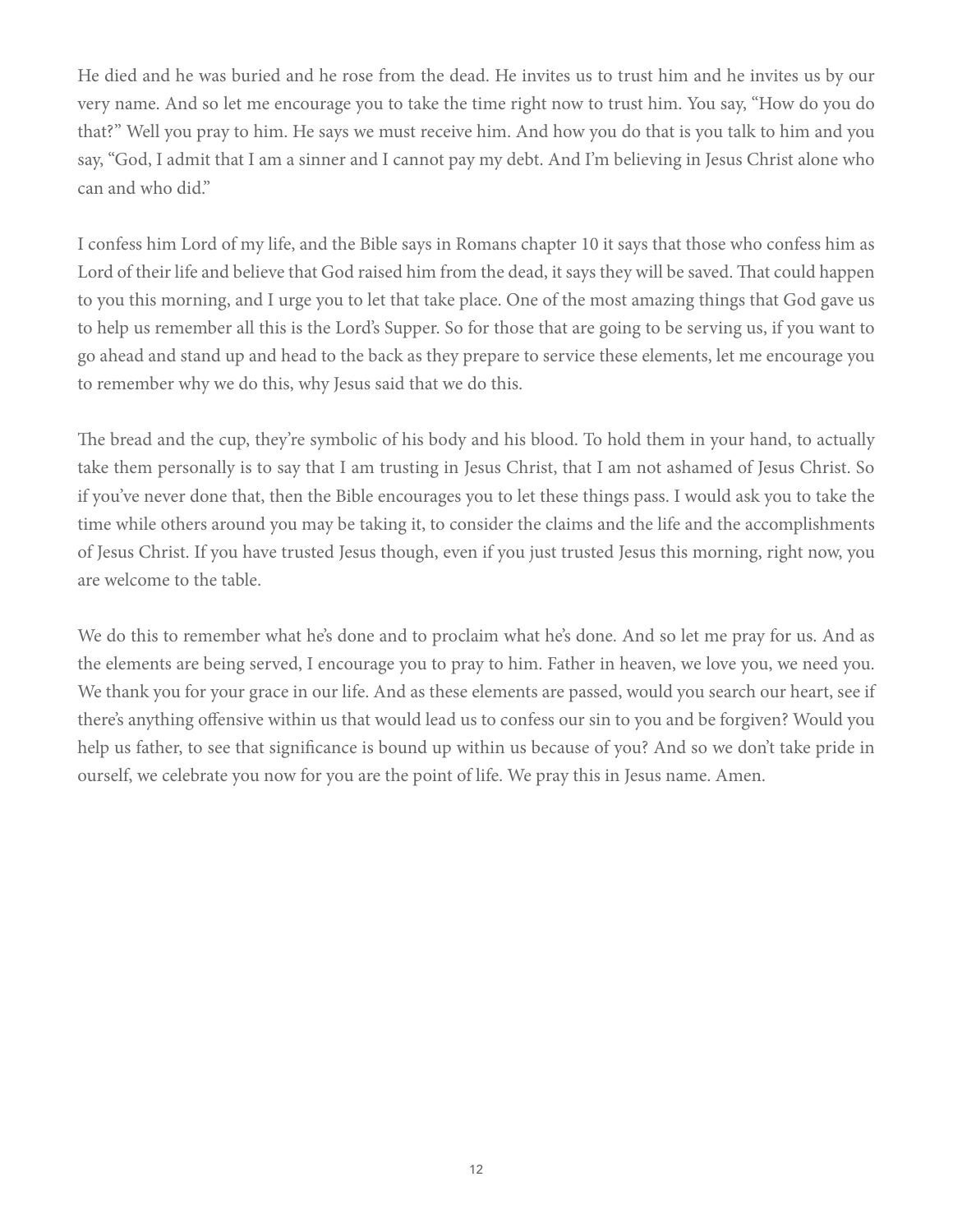He died and he was buried and he rose from the dead. He invites us to trust him and he invites us by our very name. And so let me encourage you to take the time right now to trust him. You say, "How do you do that?" Well you pray to him. He says we must receive him. And how you do that is you talk to him and you say, "God, I admit that I am a sinner and I cannot pay my debt. And I'm believing in Jesus Christ alone who can and who did."

I confess him Lord of my life, and the Bible says in Romans chapter 10 it says that those who confess him as Lord of their life and believe that God raised him from the dead, it says they will be saved. That could happen to you this morning, and I urge you to let that take place. One of the most amazing things that God gave us to help us remember all this is the Lord's Supper. So for those that are going to be serving us, if you want to go ahead and stand up and head to the back as they prepare to service these elements, let me encourage you to remember why we do this, why Jesus said that we do this.

The bread and the cup, they're symbolic of his body and his blood. To hold them in your hand, to actually take them personally is to say that I am trusting in Jesus Christ, that I am not ashamed of Jesus Christ. So if you've never done that, then the Bible encourages you to let these things pass. I would ask you to take the time while others around you may be taking it, to consider the claims and the life and the accomplishments of Jesus Christ. If you have trusted Jesus though, even if you just trusted Jesus this morning, right now, you are welcome to the table.

We do this to remember what he's done and to proclaim what he's done. And so let me pray for us. And as the elements are being served, I encourage you to pray to him. Father in heaven, we love you, we need you. We thank you for your grace in our life. And as these elements are passed, would you search our heart, see if there's anything offensive within us that would lead us to confess our sin to you and be forgiven? Would you help us father, to see that significance is bound up within us because of you? And so we don't take pride in ourself, we celebrate you now for you are the point of life. We pray this in Jesus name. Amen.